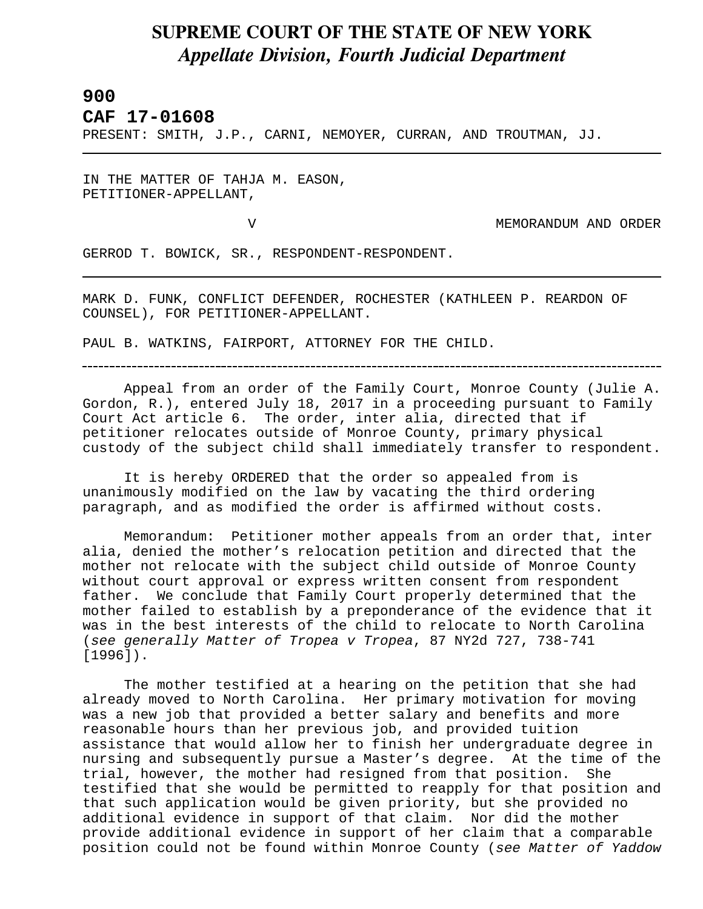## **SUPREME COURT OF THE STATE OF NEW YORK** *Appellate Division, Fourth Judicial Department*

## **900**

L

**CAF 17-01608** 

PRESENT: SMITH, J.P., CARNI, NEMOYER, CURRAN, AND TROUTMAN, JJ.

IN THE MATTER OF TAHJA M. EASON, PETITIONER-APPELLANT,

V MEMORANDUM AND ORDER

GERROD T. BOWICK, SR., RESPONDENT-RESPONDENT.

MARK D. FUNK, CONFLICT DEFENDER, ROCHESTER (KATHLEEN P. REARDON OF COUNSEL), FOR PETITIONER-APPELLANT.

PAUL B. WATKINS, FAIRPORT, ATTORNEY FOR THE CHILD.

Appeal from an order of the Family Court, Monroe County (Julie A. Gordon, R.), entered July 18, 2017 in a proceeding pursuant to Family Court Act article 6. The order, inter alia, directed that if petitioner relocates outside of Monroe County, primary physical custody of the subject child shall immediately transfer to respondent.

It is hereby ORDERED that the order so appealed from is unanimously modified on the law by vacating the third ordering paragraph, and as modified the order is affirmed without costs.

Memorandum: Petitioner mother appeals from an order that, inter alia, denied the mother's relocation petition and directed that the mother not relocate with the subject child outside of Monroe County without court approval or express written consent from respondent father. We conclude that Family Court properly determined that the mother failed to establish by a preponderance of the evidence that it was in the best interests of the child to relocate to North Carolina (*see generally Matter of Tropea v Tropea*, 87 NY2d 727, 738-741 [1996]).

The mother testified at a hearing on the petition that she had already moved to North Carolina. Her primary motivation for moving was a new job that provided a better salary and benefits and more reasonable hours than her previous job, and provided tuition assistance that would allow her to finish her undergraduate degree in nursing and subsequently pursue a Master's degree. At the time of the trial, however, the mother had resigned from that position. She testified that she would be permitted to reapply for that position and that such application would be given priority, but she provided no additional evidence in support of that claim. Nor did the mother provide additional evidence in support of her claim that a comparable position could not be found within Monroe County (*see Matter of Yaddow*